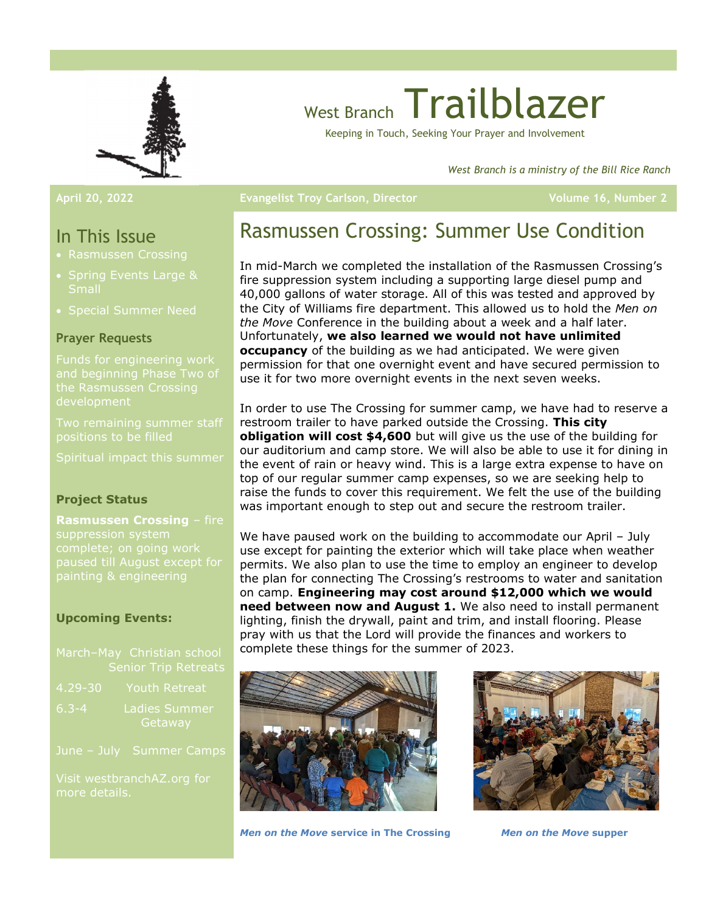

# West Branch Trailblazer

Keeping in Touch, Seeking Your Prayer and Involvement

West Branch is a ministry of the Bill Rice Ranch

### In This Issue

- Rasmussen Crossing
- Spring Events Large &
- Special Summer Need

### Prayer Requests

and beginning Phase Two of the Rasmussen Crossing development

positions to be filled

Spiritual impact this summer

### Project Status

Rasmussen Crossing - fire paused till August except for

### Upcoming Events:

|             | March-May Christian school<br><b>Senior Trip Retreats</b> |
|-------------|-----------------------------------------------------------|
| $4.29 - 30$ | Youth Retreat                                             |
| $6.3 - 4$   | <b>Ladies Summer</b><br>Getaway                           |
|             | June - July Summer Camps                                  |

more details.

### April 20, 2022 **Example 2** Evangelist Troy Carlson, Director Volume 16, Number 2

# Rasmussen Crossing: Summer Use Condition

In mid-March we completed the installation of the Rasmussen Crossing's fire suppression system including a supporting large diesel pump and 40,000 gallons of water storage. All of this was tested and approved by the City of Williams fire department. This allowed us to hold the Men on the Move Conference in the building about a week and a half later. Unfortunately, we also learned we would not have unlimited occupancy of the building as we had anticipated. We were given permission for that one overnight event and have secured permission to use it for two more overnight events in the next seven weeks.

In order to use The Crossing for summer camp, we have had to reserve a restroom trailer to have parked outside the Crossing. This city obligation will cost \$4,600 but will give us the use of the building for our auditorium and camp store. We will also be able to use it for dining in the event of rain or heavy wind. This is a large extra expense to have on top of our regular summer camp expenses, so we are seeking help to raise the funds to cover this requirement. We felt the use of the building was important enough to step out and secure the restroom trailer.

We have paused work on the building to accommodate our April - July use except for painting the exterior which will take place when weather permits. We also plan to use the time to employ an engineer to develop the plan for connecting The Crossing's restrooms to water and sanitation on camp. Engineering may cost around \$12,000 which we would need between now and August 1. We also need to install permanent lighting, finish the drywall, paint and trim, and install flooring. Please pray with us that the Lord will provide the finances and workers to complete these things for the summer of 2023.



Men on the Move service in The Crossing Men on the Move supper